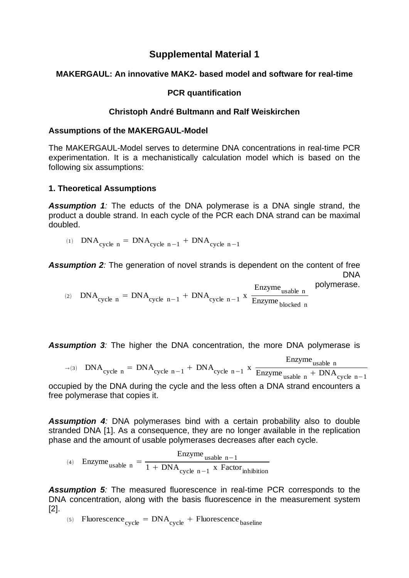# **Supplemental Material 1**

# **MAKERGAUL: An innovative MAK2- based model and software for real-time**

## **PCR quantification**

## **Christoph André Bultmann and Ralf Weiskirchen**

#### **Assumptions of the MAKERGAUL-Model**

The MAKERGAUL-Model serves to determine DNA concentrations in real-time PCR experimentation. It is a mechanistically calculation model which is based on the following six assumptions:

#### **1. Theoretical Assumptions**

*Assumption 1:* The educts of the DNA polymerase is a DNA single strand, the product a double strand. In each cycle of the PCR each DNA strand can be maximal doubled.

$$
P(A) \quad \text{DNA}_{\text{cycle } n} = \text{DNA}_{\text{cycle } n-1} + \text{DNA}_{\text{cycle } n-1}
$$

**Assumption 2***:* The generation of novel strands is dependent on the content of free DNA

polymerase. (2)  $DNA_{cycle n} = DNA_{cycle n-1} + DNA_{cycle n-1} x$ Enzyme<sub>usable</sub> n Enzyme<sub>blocked</sub> n

**Assumption 3***:* The higher the DNA concentration, the more DNA polymerase is

 $\rightarrow$  (3) DNA<sub>cycle n</sub> = DNA<sub>cycle n</sub>-1 + DNA<sub>cycle n-1</sub> x Enzyme<sub>usable</sub> n Enzyme  $_{\text{usable n}}$  + DNA<sub>cycle n-1</sub>

occupied by the DNA during the cycle and the less often a DNA strand encounters a free polymerase that copies it.

*Assumption 4:* DNA polymerases bind with a certain probability also to double stranded DNA [1]. As a consequence, they are no longer available in the replication phase and the amount of usable polymerases decreases after each cycle.

(4) Enzyme<sub>usable n</sub> = 
$$
\frac{Enzymeusable n-1}{1 + DNAcycle n-1 x Factorinhibition}
$$

**Assumption 5***:* The measured fluorescence in real-time PCR corresponds to the DNA concentration, along with the basis fluorescence in the measurement system [2].

(5) Fluorescence  $_{\text{cycle}} = \text{DNA}_{\text{cycle}} + \text{Fluorescence}_{\text{baseline}}$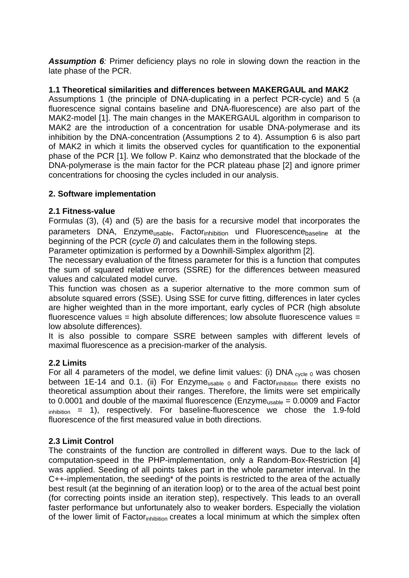**Assumption 6**: Primer deficiency plays no role in slowing down the reaction in the late phase of the PCR.

# **1.1 Theoretical similarities and differences between MAKERGAUL and MAK2**

Assumptions 1 (the principle of DNA-duplicating in a perfect PCR-cycle) and 5 (a fluorescence signal contains baseline and DNA-fluorescence) are also part of the MAK2-model [1]. The main changes in the MAKERGAUL algorithm in comparison to MAK2 are the introduction of a concentration for usable DNA-polymerase and its inhibition by the DNA-concentration (Assumptions 2 to 4). Assumption 6 is also part of MAK2 in which it limits the observed cycles for quantification to the exponential phase of the PCR [1]. We follow P. Kainz who demonstrated that the blockade of the DNA-polymerase is the main factor for the PCR plateau phase [2] and ignore primer concentrations for choosing the cycles included in our analysis.

# **2. Software implementation**

#### **2.1 Fitness-value**

Formulas (3), (4) and (5) are the basis for a recursive model that incorporates the parameters DNA, Enzyme<sub>usable</sub>, Factor<sub>inhibition</sub> und Fluorescence<sub>baseline</sub> at the beginning of the PCR (*cycle 0*) and calculates them in the following steps.

Parameter optimization is performed by a Downhill-Simplex algorithm [2].

The necessary evaluation of the fitness parameter for this is a function that computes the sum of squared relative errors (SSRE) for the differences between measured values and calculated model curve.

This function was chosen as a superior alternative to the more common sum of absolute squared errors (SSE). Using SSE for curve fitting, differences in later cycles are higher weighted than in the more important, early cycles of PCR (high absolute fluorescence values = high absolute differences; low absolute fluorescence values = low absolute differences).

It is also possible to compare SSRE between samples with different levels of maximal fluorescence as a precision-marker of the analysis.

# **2.2 Limits**

For all 4 parameters of the model, we define limit values: (i) DNA  $_{\text{cycle } 0}$  was chosen between 1E-14 and 0.1. (ii) For Enzyme $_{usable, 0}$  and Factor<sub>inhibition</sub> there exists no theoretical assumption about their ranges. Therefore, the limits were set empirically to 0.0001 and double of the maximal fluorescence ( $\text{Enzyme}_{\text{usable}} = 0.0009$  and Factor  $\phi_{\text{inhibition}}$  = 1), respectively. For baseline-fluorescence we chose the 1.9-fold fluorescence of the first measured value in both directions.

#### **2.3 Limit Control**

The constraints of the function are controlled in different ways. Due to the lack of computation-speed in the PHP-implementation, only a Random-Box-Restriction [4] was applied. Seeding of all points takes part in the whole parameter interval. In the C++-implementation, the seeding\* of the points is restricted to the area of the actually best result (at the beginning of an iteration loop) or to the area of the actual best point (for correcting points inside an iteration step), respectively. This leads to an overall faster performance but unfortunately also to weaker borders. Especially the violation of the lower limit of Factor<sub>inhibition</sub> creates a local minimum at which the simplex often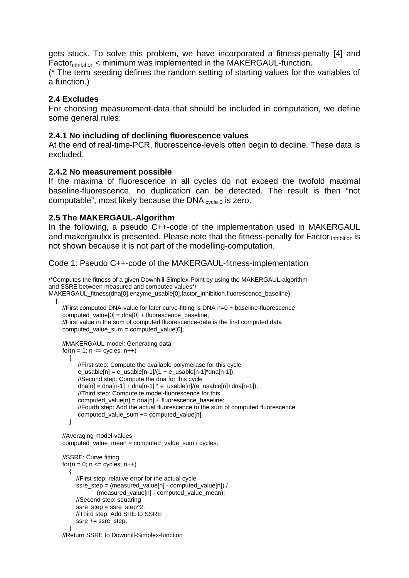gets stuck. To solve this problem, we have incorporated a fitness-penalty [4] and Factor<sub>inhibition</sub> < minimum was implemented in the MAKERGAUL-function.

(\* The term seeding defines the random setting of starting values for the variables of a function.)

#### **2.4 Excludes**

For choosing measurement-data that should be included in computation, we define some general rules:

#### **2.4.1 No including of declining fluorescence values**

At the end of real-time-PCR, fluorescence-levels often begin to decline. These data is excluded.

#### **2.4.2 No measurement possible**

If the maxima of fluorescence in all cycles do not exceed the twofold maximal baseline-fluorescence, no duplication can be detected. The result is then "not computable", most likely because the DNA  $_{\text{cycle }0}$  is zero.

#### **2.5 The MAKERGAUL-Algorithm**

In the following, a pseudo C++-code of the implementation used in MAKERGAUL and makergaulxx is presented. Please note that the fitness-penalty for Factor inhibition is not shown because it is not part of the modelling-computation.

Code 1: Pseudo C++-code of the MAKERGAUL-fitness-implementation

/\*Computes the fitness of a given Downhill-Simplex-Point by using the MAKERGAUL-algorithm and SSRE between measured and computed values\*/ MAKERGAUL\_fitness(dna[0],enzyme\_usable[0],factor\_inhibition,fluorescence\_baseline)

```
\{ //First computed DNA-value for later curve-fitting is DNA n=0 + baseline-fluorescence 
     computed_value[0] = dna[0] + fluorescence_baseline; 
     //First value in the sum of computed fluorescence-data is the first computed data 
     computed_value_sum = computed_value[0];
```

```
 //MAKERGAUL-model: Generating data 
    for(n = 1; n \le cycles; n+1)
\left\{\begin{array}{ccc} \end{array}\right\} //First step: Compute the available polymerase for this cycle 
           e_usable[n] = e_usable[n-1]/(1 + e_usable[n-1]^*dna[n-1]);
            //Second step: Compute the dna for this cycle 
           dna[n] = dna[n-1] + dna[n-1] * e_usable[n]/(e_usable[n]+dna[n-1]);
            //Third step: Compute te model-fluorescence for this 
            computed_value[n] = dna[n] + fluorescence_baseline; 
           //Fourth step: Add the actual fluorescence to the sum of computed fluorescence 
           computed_value_sum += computed_value[n]; 
        } 
     //Averaging model-values
```
computed value mean = computed value sum / cycles;

```
 //SSRE: Curve fitting 
     for(n = 0; n \le cycles; n++1)
\left\{\begin{array}{ccc} \end{array}\right\} //First step: relative error for the actual cycle 
           ssre_step = (measured_value[n] - computed_value[n]) /
                     (measured_value[n] - computed_value_mean); 
            //Second step: squaring 
           ssre_step = ssre_step\sqrt{2};
            //Third step: Add SRE to SSRE 
            ssre += ssre_step, 
         }
```
//Return SSRE to Downhill-Simplex-function